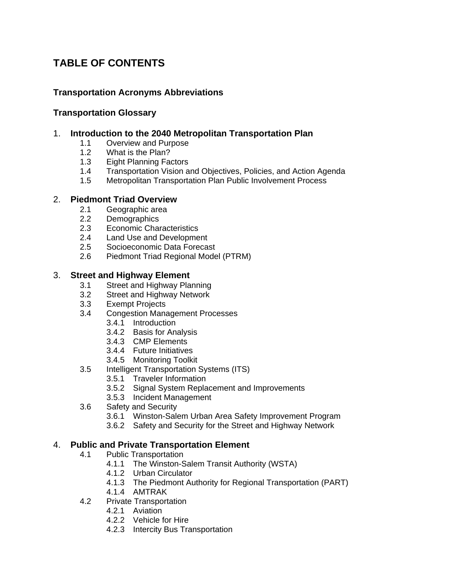# **TABLE OF CONTENTS**

## **Transportation Acronyms Abbreviations**

### **Transportation Glossary**

#### 1. **Introduction to the 2040 Metropolitan Transportation Plan**

- 1.1 Overview and Purpose
- 1.2 What is the Plan?
- 1.3 Eight Planning Factors
- 1.4 Transportation Vision and Objectives, Policies, and Action Agenda
- 1.5 Metropolitan Transportation Plan Public Involvement Process

#### 2. **Piedmont Triad Overview**

- 2.1 Geographic area
- 2.2 Demographics
- 2.3 Economic Characteristics
- 2.4 Land Use and Development
- 2.5 Socioeconomic Data Forecast
- 2.6 Piedmont Triad Regional Model (PTRM)

#### 3. **Street and Highway Element**

- 3.1 Street and Highway Planning
- 3.2 Street and Highway Network
- 3.3 Exempt Projects
- 3.4 Congestion Management Processes
	- 3.4.1 Introduction
		- 3.4.2 Basis for Analysis
		- 3.4.3 CMP Elements
		- 3.4.4 Future Initiatives
		- 3.4.5 Monitoring Toolkit
- 3.5 Intelligent Transportation Systems (ITS)
	- 3.5.1 Traveler Information
	- 3.5.2 Signal System Replacement and Improvements
	- 3.5.3 Incident Management
- 3.6 Safety and Security
	- 3.6.1 Winston-Salem Urban Area Safety Improvement Program
	- 3.6.2 Safety and Security for the Street and Highway Network

## 4. **Public and Private Transportation Element**

- 4.1 Public Transportation
	- 4.1.1 The Winston-Salem Transit Authority (WSTA)
	- 4.1.2 Urban Circulator
	- 4.1.3 The Piedmont Authority for Regional Transportation (PART)
	- 4.1.4 AMTRAK
- 4.2 Private Transportation
	- 4.2.1 Aviation
	- 4.2.2 Vehicle for Hire
	- 4.2.3 Intercity Bus Transportation